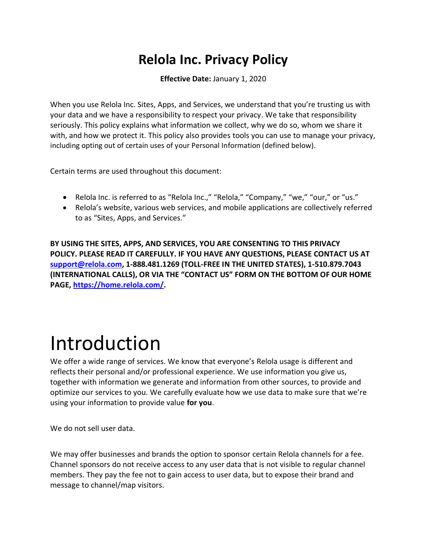### **Relola Inc. Privacy Policy**

**Effective Date:** January 1, 2020

When you use Relola Inc. Sites, Apps, and Services, we understand that you're trusting us with your data and we have a responsibility to respect your privacy. We take that responsibility seriously. This policy explains what information we collect, why we do so, whom we share it with, and how we protect it. This policy also provides tools you can use to manage your privacy, including opting out of certain uses of your Personal Information (defined below).

Certain terms are used throughout this document:

- Relola Inc. is referred to as "Relola Inc.," "Relola," "Company," "we," "our," or "us."
- Relola's website, various web services, and mobile applications are collectively referred to as "Sites, Apps, and Services."

**BY USING THE SITES, APPS, AND SERVICES, YOU ARE CONSENTING TO THIS PRIVACY POLICY. PLEASE READ IT CAREFULLY. IF YOU HAVE ANY QUESTIONS, PLEASE CONTACT US AT [support@relola.com,](mailto:support@relola.com) 1-888.481.1269 (TOLL-FREE IN THE UNITED STATES), 1-510.879.7043 (INTERNATIONAL CALLS), OR VIA THE "CONTACT US" FORM ON THE BOTTOM OF OUR HOME PAGE, [https://home.relola.com/.](https://home.relola.com/)**

### Introduction

We offer a wide range of services. We know that everyone's Relola usage is different and reflects their personal and/or professional experience. We use information you give us, together with information we generate and information from other sources, to provide and optimize our services to you. We carefully evaluate how we use data to make sure that we're using your information to provide value **for you**.

We do not sell user data.

We may offer businesses and brands the option to sponsor certain Relola channels for a fee. Channel sponsors do not receive access to any user data that is not visible to regular channel members. They pay the fee not to gain access to user data, but to expose their brand and message to channel/map visitors.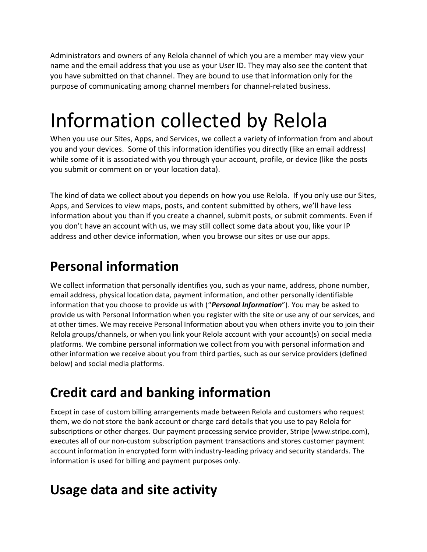Administrators and owners of any Relola channel of which you are a member may view your name and the email address that you use as your User ID. They may also see the content that you have submitted on that channel. They are bound to use that information only for the purpose of communicating among channel members for channel-related business.

### Information collected by Relola

When you use our Sites, Apps, and Services, we collect a variety of information from and about you and your devices. Some of this information identifies you directly (like an email address) while some of it is associated with you through your account, profile, or device (like the posts you submit or comment on or your location data).

The kind of data we collect about you depends on how you use Relola. If you only use our Sites, Apps, and Services to view maps, posts, and content submitted by others, we'll have less information about you than if you create a channel, submit posts, or submit comments. Even if you don't have an account with us, we may still collect some data about you, like your IP address and other device information, when you browse our sites or use our apps.

#### **Personal information**

We collect information that personally identifies you, such as your name, address, phone number, email address, physical location data, payment information, and other personally identifiable information that you choose to provide us with ("*Personal Information*"). You may be asked to provide us with Personal Information when you register with the site or use any of our services, and at other times. We may receive Personal Information about you when others invite you to join their Relola groups/channels, or when you link your Relola account with your account(s) on social media platforms. We combine personal information we collect from you with personal information and other information we receive about you from third parties, such as our service providers (defined below) and social media platforms.

### **Credit card and banking information**

Except in case of custom billing arrangements made between Relola and customers who request them, we do not store the bank account or charge card details that you use to pay Relola for subscriptions or other charges. Our payment processing service provider, Stripe ([www.stripe.com](http://www.stripe.com/)), executes all of our non-custom subscription payment transactions and stores customer payment account information in encrypted form with industry-leading privacy and security standards. The information is used for billing and payment purposes only.

#### **Usage data and site activity**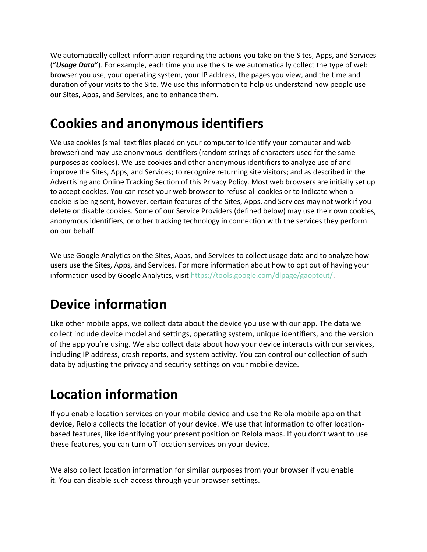We automatically collect information regarding the actions you take on the Sites, Apps, and Services ("*Usage Data*"). For example, each time you use the site we automatically collect the type of web browser you use, your operating system, your IP address, the pages you view, and the time and duration of your visits to the Site. We use this information to help us understand how people use our Sites, Apps, and Services, and to enhance them.

#### **Cookies and anonymous identifiers**

We use cookies (small text files placed on your computer to identify your computer and web browser) and may use anonymous identifiers (random strings of characters used for the same purposes as cookies). We use cookies and other anonymous identifiers to analyze use of and improve the Sites, Apps, and Services; to recognize returning site visitors; and as described in the Advertising and Online Tracking Section of this Privacy Policy. Most web browsers are initially set up to accept cookies. You can reset your web browser to refuse all cookies or to indicate when a cookie is being sent, however, certain features of the Sites, Apps, and Services may not work if you delete or disable cookies. Some of our Service Providers (defined below) may use their own cookies, anonymous identifiers, or other tracking technology in connection with the services they perform on our behalf.

We use Google Analytics on the Sites, Apps, and Services to collect usage data and to analyze how users use the Sites, Apps, and Services. For more information about how to opt out of having your information used by Google Analytics, visit [https://tools.google.com/dlpage/gaoptout/.](https://tools.google.com/dlpage/gaoptout/)

#### **Device information**

Like other mobile apps, we collect data about the device you use with our app. The data we collect include device model and settings, operating system, unique identifiers, and the version of the app you're using. We also collect data about how your device interacts with our services, including IP address, crash reports, and system activity. You can control our collection of such data by adjusting the privacy and security settings on your mobile device.

#### **Location information**

If you enable location services on your mobile device and use the Relola mobile app on that device, Relola collects the location of your device. We use that information to offer locationbased features, like identifying your present position on Relola maps. If you don't want to use these features, you can turn off location services on your device.

We also collect location information for similar purposes from your browser if you enable it. You can disable such access through your browser settings.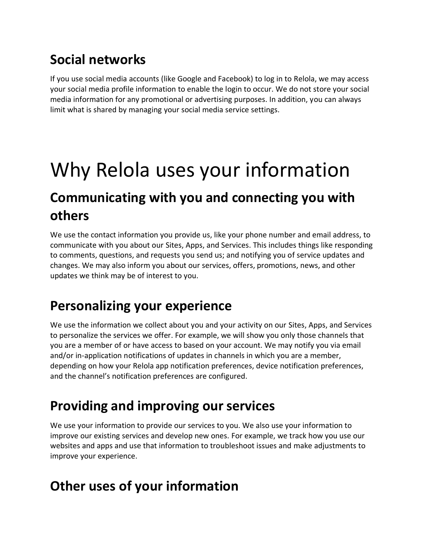### **Social networks**

If you use social media accounts (like Google and Facebook) to log in to Relola, we may access your social media profile information to enable the login to occur. We do not store your social media information for any promotional or advertising purposes. In addition, you can always limit what is shared by managing your social media service settings.

### Why Relola uses your information

#### **Communicating with you and connecting you with others**

We use the contact information you provide us, like your phone number and email address, to communicate with you about our Sites, Apps, and Services. This includes things like responding to comments, questions, and requests you send us; and notifying you of service updates and changes. We may also inform you about our services, offers, promotions, news, and other updates we think may be of interest to you.

#### **Personalizing your experience**

We use the information we collect about you and your activity on our Sites, Apps, and Services to personalize the services we offer. For example, we will show you only those channels that you are a member of or have access to based on your account. We may notify you via email and/or in-application notifications of updates in channels in which you are a member, depending on how your Relola app notification preferences, device notification preferences, and the channel's notification preferences are configured.

#### **Providing and improving our services**

We use your information to provide our services to you. We also use your information to improve our existing services and develop new ones. For example, we track how you use our websites and apps and use that information to troubleshoot issues and make adjustments to improve your experience.

#### **Other uses of your information**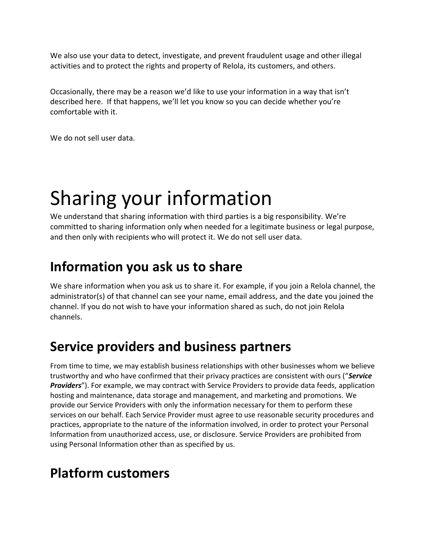We also use your data to detect, investigate, and prevent fraudulent usage and other illegal activities and to protect the rights and property of Relola, its customers, and others.

Occasionally, there may be a reason we'd like to use your information in a way that isn't described here. If that happens, we'll let you know so you can decide whether you're comfortable with it.

We do not sell user data.

## Sharing your information

We understand that sharing information with third parties is a big responsibility. We're committed to sharing information only when needed for a legitimate business or legal purpose, and then only with recipients who will protect it. We do not sell user data.

#### **Information you ask us to share**

We share information when you ask us to share it. For example, if you join a Relola channel, the administrator(s) of that channel can see your name, email address, and the date you joined the channel. If you do not wish to have your information shared as such, do not join Relola channels.

#### **Service providers and business partners**

From time to time, we may establish business relationships with other businesses whom we believe trustworthy and who have confirmed that their privacy practices are consistent with ours ("*Service*  **Providers**"). For example, we may contract with Service Providers to provide data feeds, application hosting and maintenance, data storage and management, and marketing and promotions. We provide our Service Providers with only the information necessary for them to perform these services on our behalf. Each Service Provider must agree to use reasonable security procedures and practices, appropriate to the nature of the information involved, in order to protect your Personal Information from unauthorized access, use, or disclosure. Service Providers are prohibited from using Personal Information other than as specified by us.

#### **Platform customers**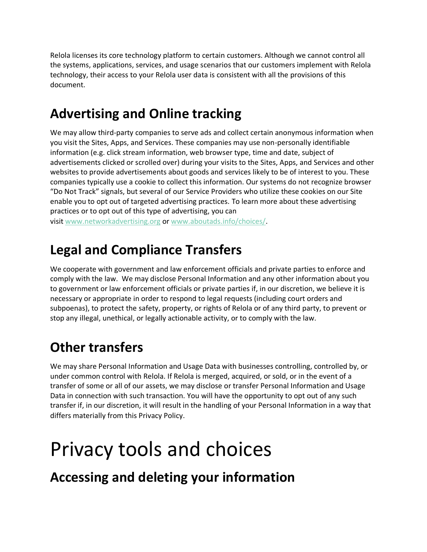Relola licenses its core technology platform to certain customers. Although we cannot control all the systems, applications, services, and usage scenarios that our customers implement with Relola technology, their access to your Relola user data is consistent with all the provisions of this document.

#### **Advertising and Online tracking**

We may allow third-party companies to serve ads and collect certain anonymous information when you visit the Sites, Apps, and Services. These companies may use non-personally identifiable information (e.g. click stream information, web browser type, time and date, subject of advertisements clicked or scrolled over) during your visits to the Sites, Apps, and Services and other websites to provide advertisements about goods and services likely to be of interest to you. These companies typically use a cookie to collect this information. Our systems do not recognize browser "Do Not Track" signals, but several of our Service Providers who utilize these cookies on our Site enable you to opt out of targeted advertising practices. To learn more about these advertising practices or to opt out of this type of advertising, you can visit [www.networkadvertising.org](http://www.networkadvertising.org/) or [www.aboutads.info/choices/.](http://www.aboutads.info/choices/)

#### **Legal and Compliance Transfers**

We cooperate with government and law enforcement officials and private parties to enforce and comply with the law. We may disclose Personal Information and any other information about you to government or law enforcement officials or private parties if, in our discretion, we believe it is necessary or appropriate in order to respond to legal requests (including court orders and subpoenas), to protect the safety, property, or rights of Relola or of any third party, to prevent or stop any illegal, unethical, or legally actionable activity, or to comply with the law.

### **Other transfers**

We may share Personal Information and Usage Data with businesses controlling, controlled by, or under common control with Relola. If Relola is merged, acquired, or sold, or in the event of a transfer of some or all of our assets, we may disclose or transfer Personal Information and Usage Data in connection with such transaction. You will have the opportunity to opt out of any such transfer if, in our discretion, it will result in the handling of your Personal Information in a way that differs materially from this Privacy Policy.

### Privacy tools and choices

**Accessing and deleting your information**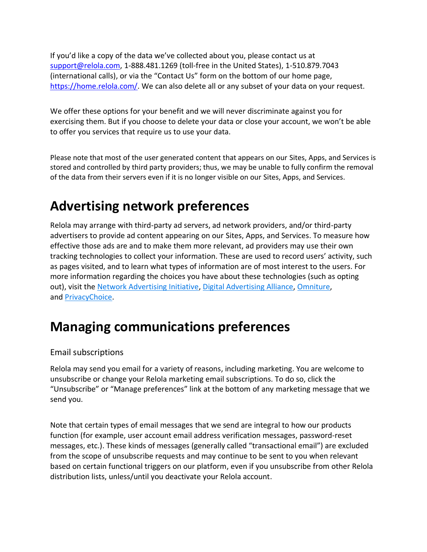If you'd like a copy of the data we've collected about you, please contact us at [support@relola.com,](mailto:support@relola.com) 1-888.481.1269 (toll-free in the United States), 1-510.879.7043 (international calls), or via the "Contact Us" form on the bottom of our home page, [https://home.relola.com/.](https://home.relola.com/) We can also delete all or any subset of your data on your request.

We offer these options for your benefit and we will never discriminate against you for exercising them. But if you choose to delete your data or close your account, we won't be able to offer you services that require us to use your data.

Please note that most of the user generated content that appears on our Sites, Apps, and Services is stored and controlled by third party providers; thus, we may be unable to fully confirm the removal of the data from their servers even if it is no longer visible on our Sites, Apps, and Services.

#### **Advertising network preferences**

Relola may arrange with third-party ad servers, ad network providers, and/or third-party advertisers to provide ad content appearing on our Sites, Apps, and Services. To measure how effective those ads are and to make them more relevant, ad providers may use their own tracking technologies to collect your information. These are used to record users' activity, such as pages visited, and to learn what types of information are of most interest to the users. For more information regarding the choices you have about these technologies (such as opting out), visit the [Network Advertising Initiative,](http://www.networkadvertising.org/) [Digital Advertising Alliance,](http://www.aboutads.info/choices/) [Omniture,](https://www.d1.sc.omtrdc.net/optout.html) and [PrivacyChoice.](http://privacychoice.org/trackerblock)

#### **Managing communications preferences**

#### Email subscriptions

Relola may send you email for a variety of reasons, including marketing. You are welcome to unsubscribe or change your Relola marketing email subscriptions. To do so, click the "Unsubscribe" or "Manage preferences" link at the bottom of any marketing message that we send you.

Note that certain types of email messages that we send are integral to how our products function (for example, user account email address verification messages, password-reset messages, etc.). These kinds of messages (generally called "transactional email") are excluded from the scope of unsubscribe requests and may continue to be sent to you when relevant based on certain functional triggers on our platform, even if you unsubscribe from other Relola distribution lists, unless/until you deactivate your Relola account.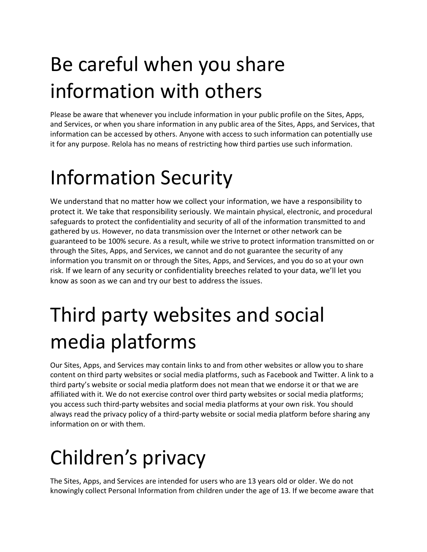# Be careful when you share information with others

Please be aware that whenever you include information in your public profile on the Sites, Apps, and Services, or when you share information in any public area of the Sites, Apps, and Services, that information can be accessed by others. Anyone with access to such information can potentially use it for any purpose. Relola has no means of restricting how third parties use such information.

## Information Security

We understand that no matter how we collect your information, we have a responsibility to protect it. We take that responsibility seriously. We maintain physical, electronic, and procedural safeguards to protect the confidentiality and security of all of the information transmitted to and gathered by us. However, no data transmission over the Internet or other network can be guaranteed to be 100% secure. As a result, while we strive to protect information transmitted on or through the Sites, Apps, and Services, we cannot and do not guarantee the security of any information you transmit on or through the Sites, Apps, and Services, and you do so at your own risk. If we learn of any security or confidentiality breeches related to your data, we'll let you know as soon as we can and try our best to address the issues.

# Third party websites and social media platforms

Our Sites, Apps, and Services may contain links to and from other websites or allow you to share content on third party websites or social media platforms, such as Facebook and Twitter. A link to a third party's website or social media platform does not mean that we endorse it or that we are affiliated with it. We do not exercise control over third party websites or social media platforms; you access such third-party websites and social media platforms at your own risk. You should always read the privacy policy of a third-party website or social media platform before sharing any information on or with them.

# Children's privacy

The Sites, Apps, and Services are intended for users who are 13 years old or older. We do not knowingly collect Personal Information from children under the age of 13. If we become aware that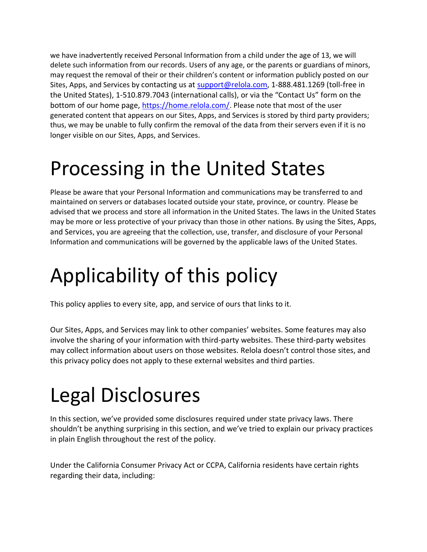we have inadvertently received Personal Information from a child under the age of 13, we will delete such information from our records. Users of any age, or the parents or guardians of minors, may request the removal of their or their children's content or information publicly posted on our Sites, Apps, and Services by contacting us at [support@relola.com,](mailto:support@relola.com) 1-888.481.1269 (toll-free in the United States), 1-510.879.7043 (international calls), or via the "Contact Us" form on the bottom of our home page,<https://home.relola.com/>. Please note that most of the user generated content that appears on our Sites, Apps, and Services is stored by third party providers; thus, we may be unable to fully confirm the removal of the data from their servers even if it is no longer visible on our Sites, Apps, and Services.

### Processing in the United States

Please be aware that your Personal Information and communications may be transferred to and maintained on servers or databases located outside your state, province, or country. Please be advised that we process and store all information in the United States. The laws in the United States may be more or less protective of your privacy than those in other nations. By using the Sites, Apps, and Services, you are agreeing that the collection, use, transfer, and disclosure of your Personal Information and communications will be governed by the applicable laws of the United States.

# Applicability of this policy

This policy applies to every site, app, and service of ours that links to it.

Our Sites, Apps, and Services may link to other companies' websites. Some features may also involve the sharing of your information with third-party websites. These third-party websites may collect information about users on those websites. Relola doesn't control those sites, and this privacy policy does not apply to these external websites and third parties.

## Legal Disclosures

In this section, we've provided some disclosures required under state privacy laws. There shouldn't be anything surprising in this section, and we've tried to explain our privacy practices in plain English throughout the rest of the policy.

Under the California Consumer Privacy Act or CCPA, California residents have certain rights regarding their data, including: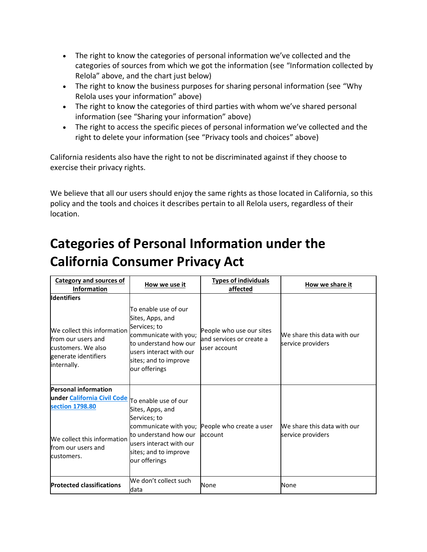- The right to know the categories of personal information we've collected and the categories of sources from which we got the information (see "Information collected by Relola" above, and the chart just below)
- The right to know the business purposes for sharing personal information (see "Why Relola uses your information" above)
- The right to know the categories of third parties with whom we've shared personal information (see "Sharing your information" above)
- The right to access the specific pieces of personal information we've collected and the right to delete your information (see "Privacy tools and choices" above)

California residents also have the right to not be discriminated against if they choose to exercise their privacy rights.

We believe that all our users should enjoy the same rights as those located in California, so this policy and the tools and choices it describes pertain to all Relola users, regardless of their location.

#### **Categories of Personal Information under the California Consumer Privacy Act**

| <b>Category and sources of</b><br><b>Information</b>                                                                                                                   | How we use it                                                                                                                                                                   | <b>Types of individuals</b><br>affected                                | How we share it                                  |
|------------------------------------------------------------------------------------------------------------------------------------------------------------------------|---------------------------------------------------------------------------------------------------------------------------------------------------------------------------------|------------------------------------------------------------------------|--------------------------------------------------|
| <b>Identifiers</b><br>We collect this information<br>lfrom our users and<br>customers. We also<br>generate identifiers<br>internally.                                  | To enable use of our<br>Sites, Apps, and<br>Services; to<br>communicate with you;<br>to understand how our<br>users interact with our<br>sites; and to improve<br>our offerings | People who use our sites<br>land services or create a<br>luser account | We share this data with our<br>service providers |
| Personal information<br>under <i>California Civil Code</i> To enable use of our<br>section 1798.80<br>We collect this information<br>lfrom our users and<br>customers. | Sites, Apps, and<br>Services; to<br>to understand how our<br>users interact with our<br>sites; and to improve<br>our offerings                                                  | communicate with you; People who create a user<br>account              | We share this data with our<br>service providers |
| <b>Protected classifications</b>                                                                                                                                       | We don't collect such<br>data                                                                                                                                                   | None                                                                   | None                                             |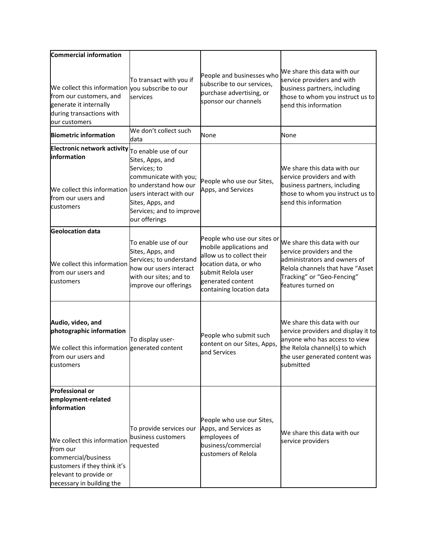| Commercial information                                                                                                                                                                                                |                                                                                                                                                                                                        |                                                                                                                                                                                     |                                                                                                                                                                                      |
|-----------------------------------------------------------------------------------------------------------------------------------------------------------------------------------------------------------------------|--------------------------------------------------------------------------------------------------------------------------------------------------------------------------------------------------------|-------------------------------------------------------------------------------------------------------------------------------------------------------------------------------------|--------------------------------------------------------------------------------------------------------------------------------------------------------------------------------------|
| We collect this information you subscribe to our<br>from our customers, and<br>generate it internally<br>during transactions with<br>our customers                                                                    | To transact with you if<br>services                                                                                                                                                                    | People and businesses who<br>subscribe to our services,<br>purchase advertising, or<br>sponsor our channels                                                                         | We share this data with our<br>service providers and with<br>business partners, including<br>those to whom you instruct us to<br>send this information                               |
| <b>Biometric information</b>                                                                                                                                                                                          | We don't collect such<br>data                                                                                                                                                                          | None                                                                                                                                                                                | None                                                                                                                                                                                 |
| <b>Electronic network activity</b><br>information<br>We collect this information<br>from our users and<br>customers                                                                                                   | To enable use of our<br>Sites, Apps, and<br>Services; to<br>communicate with you;<br>to understand how our<br>users interact with our<br>Sites, Apps, and<br>Services; and to improve<br>our offerings | People who use our Sites,<br>Apps, and Services                                                                                                                                     | We share this data with our<br>service providers and with<br>business partners, including<br>those to whom you instruct us to<br>send this information                               |
| <b>Geolocation data</b><br>We collect this information<br>from our users and<br>customers                                                                                                                             | To enable use of our<br>Sites, Apps, and<br>Services; to understand<br>how our users interact<br>with our sites; and to<br>improve our offerings                                                       | People who use our sites or<br>mobile applications and<br>allow us to collect their<br>location data, or who<br>submit Relola user<br>generated content<br>containing location data | We share this data with our<br>service providers and the<br>administrators and owners of<br>Relola channels that have "Asset<br>Tracking" or "Geo-Fencing"<br>features turned on     |
| Audio, video, and<br>photographic information<br>We collect this information generated content<br>lfrom our users and<br>customers                                                                                    | To display user-                                                                                                                                                                                       | People who submit such<br>content on our Sites, Apps,<br>and Services                                                                                                               | We share this data with our<br>service providers and display it to<br>anyone who has access to view<br>the Relola channel(s) to which<br>the user generated content was<br>submitted |
| <b>Professional or</b><br>employment-related<br>information<br>We collect this information<br>lfrom our<br>commercial/business<br>customers if they think it's<br>relevant to provide or<br>necessary in building the | To provide services our<br>business customers<br>requested                                                                                                                                             | People who use our Sites,<br>Apps, and Services as<br>employees of<br>business/commercial<br>customers of Relola                                                                    | We share this data with our<br>service providers                                                                                                                                     |